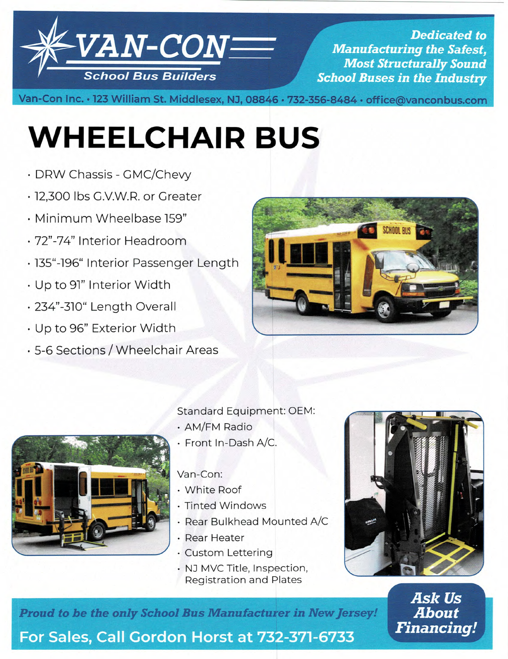

**Dedicated to Manufacturing the Safest, Most Structurally Sound School Buses in the Industry** 

Van-Con Inc. · 123 William St. Middlesex, NJ, 08846 · 732-356-8484 · office@vanconbus.com

# **WHEELCHAIR BUS**

- DPW Chassis GMC/Chevy
- 12,300 lbs G.V.W.R. or Greater
- Minimum Wheelbase 159"
- 72"-74" Interior Headroom
- 135"-196" Interior Passenger Length
- Up to 91" Interior Width
- 234"-310" Length Overall
- Up to 96" Exterior Width
- 5-6 Sections /Wheelchair Areas





# Standard Equipment: OEM:

- AM/FM Radio
- Front In-Dash A/c.

# Van-Con:

- White Roof
- Tinted Windows
- Rear Bulkhead Mounted A/C
- Rear Heater
- Custom Lettering
- NJ MVC Title, Inspection, Registration and Plates



**Ask Us About Financing!** 

**Proud to be the only School Bus Manufacturer in New Jersey!** 

**For Sales, Call Cbrdàni4orst át732-371-E733**